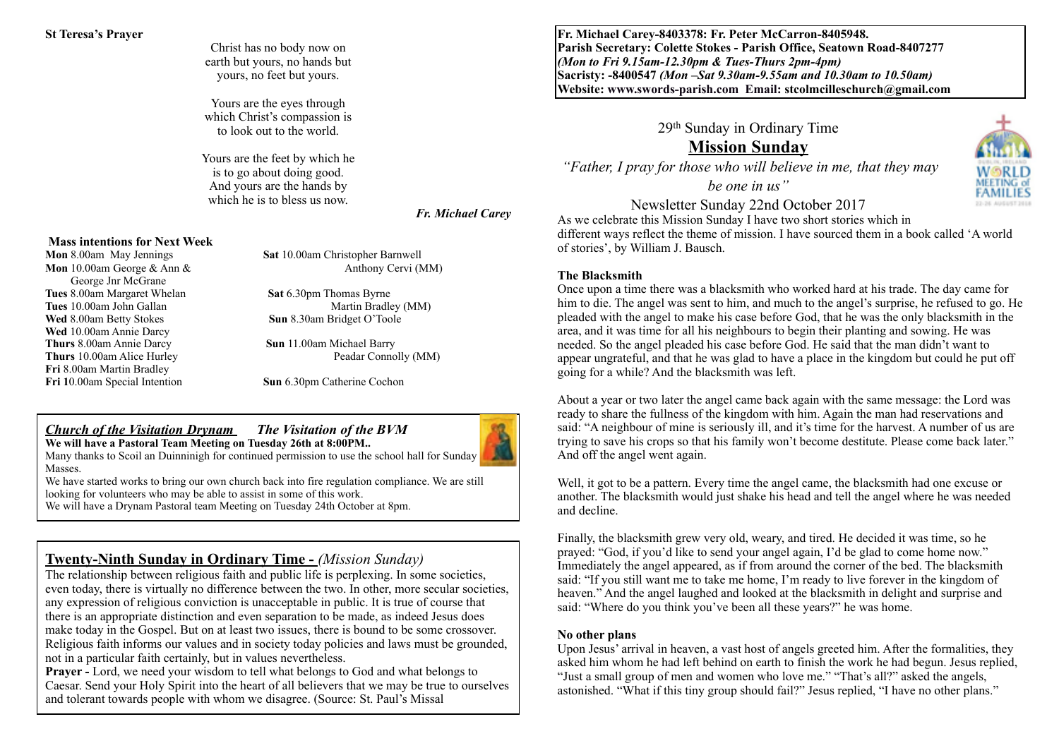#### **St Teresa's Prayer**

Christ has no body now on earth but yours, no hands but yours, no feet but yours.

Yours are the eyes through which Christ's compassion is to look out to the world.

Yours are the feet by which he is to go about doing good. And yours are the hands by which he is to bless us now.

#### *Fr. Michael Carey*

#### **Mass intentions for Next Week**

 George Jnr McGrane **Tues** 10.00am John Gallan **Wed** 8.00am Betty Stokes **Sun** 8.30am Bridget O'Toole **Wed** 10.00am Annie Darcy **Thurs** 8.00am Annie Darcy **Sun** 11.00am Michael Barry **Fri** 8.00am Martin Bradley **Fri 1**0.00am Special Intention **Sun** 6.30pm Catherine Cochon

**Mon** 8.00am May Jennings **Sat** 10.00am Christopher Barnwell **Mon** 10.00am George & Ann & Anthony Cervi (MM)

**Tues 8.00am Margaret Whelan <b>Sat** 6.30pm Thomas Byrne<br> **Tues** 10.00am John Gallan Martin Bradley (MM)

**Thurs** 10.00am Alice Hurley Peadar Connolly (MM)

#### *Church of the Visitation Drynam**The Visitation of the BVM* **We will have a Pastoral Team Meeting on Tuesday 26th at 8:00PM..**



Many thanks to Scoil an Duinninigh for continued permission to use the school hall for Sunday Masses.

We have started works to bring our own church back into fire regulation compliance. We are still looking for volunteers who may be able to assist in some of this work.

We will have a Drynam Pastoral team Meeting on Tuesday 24th October at 8pm.

### **Twenty-Ninth Sunday in Ordinary Time -** *(Mission Sunday)*

The relationship between religious faith and public life is perplexing. In some societies, even today, there is virtually no difference between the two. In other, more secular societies, any expression of religious conviction is unacceptable in public. It is true of course that there is an appropriate distinction and even separation to be made, as indeed Jesus does make today in the Gospel. But on at least two issues, there is bound to be some crossover. Religious faith informs our values and in society today policies and laws must be grounded, not in a particular faith certainly, but in values nevertheless.

**Prayer -** Lord, we need your wisdom to tell what belongs to God and what belongs to Caesar. Send your Holy Spirit into the heart of all believers that we may be true to ourselves and tolerant towards people with whom we disagree. (Source: St. Paul's Missal

**Fr. Michael Carey-8403378: Fr. Peter McCarron-8405948. Parish Secretary: Colette Stokes - Parish Office, Seatown Road-8407277**  *(Mon to Fri 9.15am-12.30pm & Tues-Thurs 2pm-4pm)*  **Sacristy: -8400547** *(Mon –Sat 9.30am-9.55am and 10.30am to 10.50am)* **Website: [www.swords-parish.com Email:](http://www.swords-parish.com%20%20email) stcolmcilleschurch@gmail.com**

29th Sunday in Ordinary Time

# **Mission Sunday**

 *"Father, I pray for those who will believe in me, that they may* 

*be one in us"* 

Newsletter Sunday 22nd October 2017

As we celebrate this Mission Sunday I have two short stories which in different ways reflect the theme of mission. I have sourced them in a book called 'A world of stories', by William J. Bausch.

#### **The Blacksmith**

Once upon a time there was a blacksmith who worked hard at his trade. The day came for him to die. The angel was sent to him, and much to the angel's surprise, he refused to go. He pleaded with the angel to make his case before God, that he was the only blacksmith in the area, and it was time for all his neighbours to begin their planting and sowing. He was needed. So the angel pleaded his case before God. He said that the man didn't want to appear ungrateful, and that he was glad to have a place in the kingdom but could he put off going for a while? And the blacksmith was left.

About a year or two later the angel came back again with the same message: the Lord was ready to share the fullness of the kingdom with him. Again the man had reservations and said: "A neighbour of mine is seriously ill, and it's time for the harvest. A number of us are trying to save his crops so that his family won't become destitute. Please come back later." And off the angel went again.

Well, it got to be a pattern. Every time the angel came, the blacksmith had one excuse or another. The blacksmith would just shake his head and tell the angel where he was needed and decline.

Finally, the blacksmith grew very old, weary, and tired. He decided it was time, so he prayed: "God, if you'd like to send your angel again, I'd be glad to come home now." Immediately the angel appeared, as if from around the corner of the bed. The blacksmith said: "If you still want me to take me home, I'm ready to live forever in the kingdom of heaven." And the angel laughed and looked at the blacksmith in delight and surprise and said: "Where do you think you've been all these years?" he was home.

#### **No other plans**

Upon Jesus' arrival in heaven, a vast host of angels greeted him. After the formalities, they asked him whom he had left behind on earth to finish the work he had begun. Jesus replied, "Just a small group of men and women who love me." "That's all?" asked the angels, astonished. "What if this tiny group should fail?" Jesus replied, "I have no other plans."